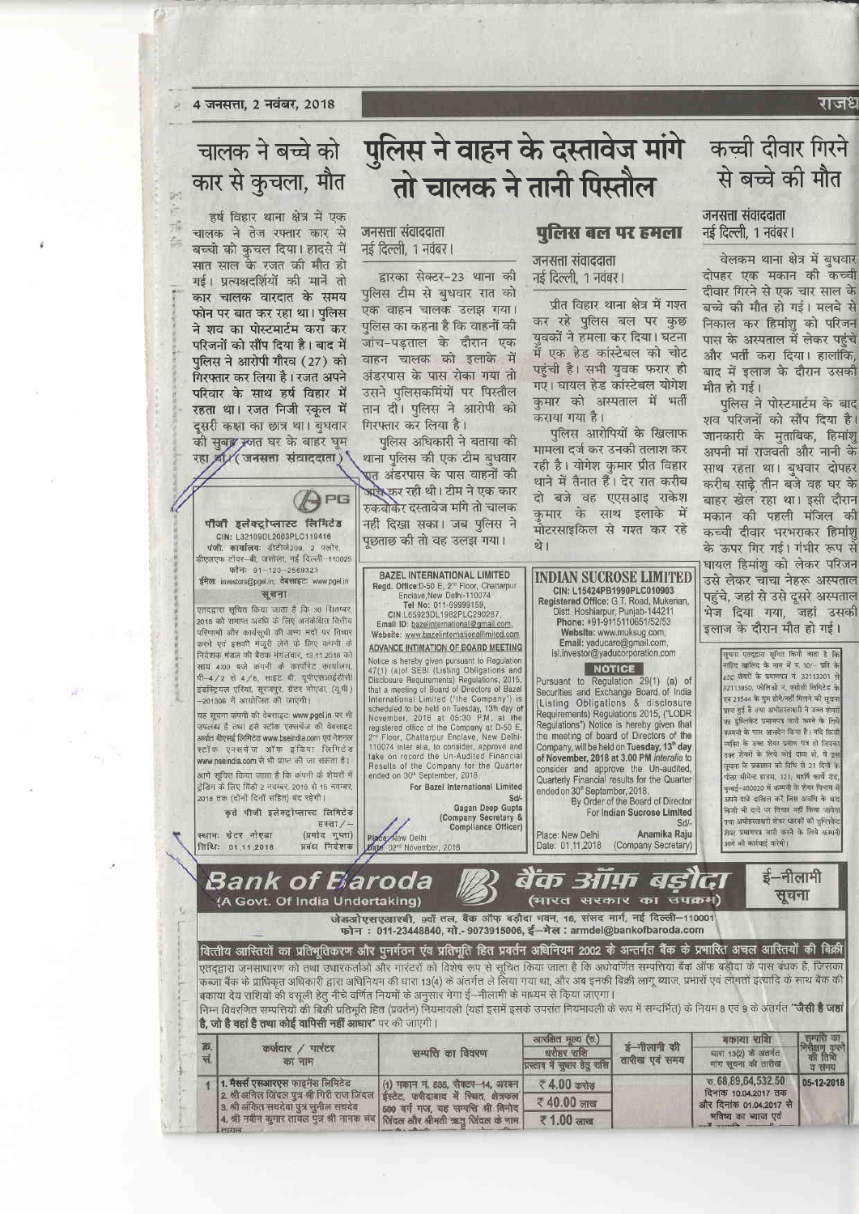#### राजध

4 जनसत्ता, 2 नवंबर, 2018

## चालक ने बच्चे को कार से कुचला, मौत

 $7<sub>0</sub>$ 高

乔

信

हर्ष विहार थाना क्षेत्र में एक चालक ने तेज रफ्तार कार से बच्चो को कचल दिया। हादसे में सात साल के रजत की मौत हो गई। प्रत्यक्षदर्शियों की मानें तो कार चालक वारदात के समय फोन पर बात कर रहा था। पुलिस ने शव का पोस्टमार्टम करा कर परिजनों को सौंप दिया है। बाद में पुलिस ने आरोपी गौरव (27) को गिरफ्तार कर लिया है। रजत अपने परिवार के साथ हर्ष विहार में रहता था। रजत निजी स्कुल में दुसरी कक्षा का छात्र था। बुधवार की सुबङ्ग स्जत घर के बाहर घुम रहा श्री/ जनसत्ता संवाददाता)

पीजी इलेक्ट्रोप्लास्ट लिमिटेड

CIN: L32109DL2003PLC119416<br>पंजी. कार्यालयः डीटीजे209. 2 फ्लोर

.<br>डीएलएफ टॉवर-बी, जसोला, नई दिल्ली-110025

फोनः 91-120-2569323

सूचना

स्थानः ग्रेटर नोएडा

तिथिः 01.11.2018

APG

# पुलिस ने वाहन के दस्तावेज मांगे तो चालक ने तानी पिस्तौल

#### जनसत्ता संवाददाता नई दिल्ली, 1 नवंबर।

द्वारका सेक्टर-23 थाना की पुलिस टीम से बृधवार रात को एक वाहन चालक उलझ गया। पलिस का कहना है कि वाहनों की जांच-पडताल के दौरान एक वाहन चालक को इलाके में अंडरपास के पास रोका गया तो उसने पलिसकर्मियों पर पिस्तौल तान दी। पुलिस ने आरोपी को गिरफ्तार कर लिया है।

पलिस अधिकारी ने बताया की थाना पुलिस की एक टीम बुधवार एत अंडरपास के पास वाहनों की <mark>अप्</mark>रैस्कर रही थी। टीम ने एक कार रुकवोकेर दस्तावेज मांगे तो चालक नहीं दिखा सका। जब पुलिस ने पूछताछ की तो वह उलझ गया।

**BAZEL INTERNATIONAL LIMITED** 

### पलिस बल पर हमला

#### जनसत्ता संवाददाता नई दिल्ली. 1 नवंबर |

प्रीत विहार थाना क्षेत्र में गश्त कर रहे पुलिस बल पर कुछ यवकों ने हमला कर दिया। घटना में एक हेड कांस्टेबल को चोट पहुंची है। सभी युवक फरार हो गए। घायल हेड कांस्टेबल योगेश कुमार को अस्पताल में भर्ती कराया गया है।

पुलिस आरोपियों के खिलाफ मामला दर्ज कर उनकी तलाश कर रही है। योगेश कुमार प्रीत विहार थाने में तैनात हैं। देर रात करीब दो बजे वह एएसआइ राकेश कमार के साथ इलाके में मोटरसाइकिल से गश्त कर रहे थे।

**INDIAN SUCROSE LIMITED** 

## जनसत्ता संवाददाता नई दिल्ली, 1 नवंबर।

वेलकम थाना क्षेत्र में बधवार दोपहर एक मकान की कच्ची दीवार गिरने से एक चार साल के बच्चे की मौत हो गई। मलबे से निकाल कर हिमांशु को परिजन पास के अस्पताल में लेकर पहुंचे और भर्ती करा दिया। हालांकि बाद में इलाज के दौरान उसकी मौत हो गई।

कच्ची दीवार गिरने

से बच्चे की मौत

पुलिस ने पोस्टमार्टम के बाद शव परिजनों को सौंप दिया है। जानकारी के मृताबिक, हिमांशू अपनी मां राजवती और नानी के साथ रहता था। बृधवार दोपहर करीब साढे तीन बजे वह घर के बाहर खेल रहा था। इसी दौरान मकान की पहली मंजिल की कच्ची दीवार भरभराकर हिमांशू के ऊपर गिर गई। गंभीर रूप से घायल हिमांशु को लेकर परिजन उसे लेकर चाचा नेहरू अस्पताल



एतद्द्वारा जनसाधारण को तथा उधारकर्ताओं और गारंटरों को विशेष रूप से सूचित किया जाता है कि अधोवर्णित सम्पत्तियां बैंक ऑफ बड़ौदा के पास बंधक है, जिसका कब्जा बैंक के प्राधिकृत अधिकारी द्वारा अधिनियम की धारा 13(4) के अंतर्गत ले लिया गया था, और अब इनकी बिक्री लागू ब्याज, प्रभारों एवं लागतों इत्यादि के साथ बैंक की बकाया देय राशियों की वसूली हेतु नीचे वर्णित नियमों के अनुसार मेगा ई—नीलामी के माध्यम से किया जाएगा। निम्न विवरणित सम्पत्तियों की बिक्री प्रतिभूति हित (प्रवर्तन) नियमावली (यहां इसमें इसके उपरांत नियमातली के रूप में सन्दर्भित) के नियम 8 एवं 9 के अंतर्गत "**जैसी है जहां** 

है, जो है वहां है तथा कोई वापिसी नहीं आधार" पर की जाएगी।

| 页<br>ম. | कर्जवार / गारंटर<br>का नाम                                                                                                                                                                                                                                             | सम्पत्ति का विवरण                                                         | आरामात मूल्य (७.)<br>चरोहर राशि<br>प्रस्ताव में सुवार हेतु राशि | ई-नीलामी की<br>तारीख एवं समय                    | बकाया साश<br>धारा 13(2) के अंतर्गत<br>मांग सूचना की तारीख | <b>AMM di</b><br>निरीक्षण करने<br> -<br>  की तिथि<br>व समय |
|---------|------------------------------------------------------------------------------------------------------------------------------------------------------------------------------------------------------------------------------------------------------------------------|---------------------------------------------------------------------------|-----------------------------------------------------------------|-------------------------------------------------|-----------------------------------------------------------|------------------------------------------------------------|
|         | 1. मैसर्स एसआरएस फाइनेंस लिमिटेड<br>2 श्री अनिल जिंदल पुत्र श्री गिरी राज जिंदल   ईस्टेट, फरीदाबाद में स्थित, क्षेत्रफल  <br>  3. श्री अंकित सचदेवा पुत्र सुनील सचदेव<br>4. श्री नवीन कुमार तायल पुत्र श्री नानक चंद सिंदल और श्रीमती ऋतु जिंदल के नाम<br><b>FILIN</b> | (1) मकान नं. 535, सैक्टर-14, अरबन<br>600 वर्ग गज, यह सम्पत्ति श्री विनोद। | र 4.00 करोड                                                     |                                                 | $\overline{6}$ , 68, 89, 64, 532, 50                      | 05-12-2018                                                 |
|         |                                                                                                                                                                                                                                                                        |                                                                           | ₹40.00 लाख                                                      | दिनांक 10.04.2017 तक<br>और दिनांक 01.04.2017 से |                                                           |                                                            |
|         |                                                                                                                                                                                                                                                                        |                                                                           | ₹ 1.00 लाख                                                      |                                                 | भविष्य का ब्याज एवं<br>$\sim$ 0 $\sim$ 0 $\sim$           |                                                            |